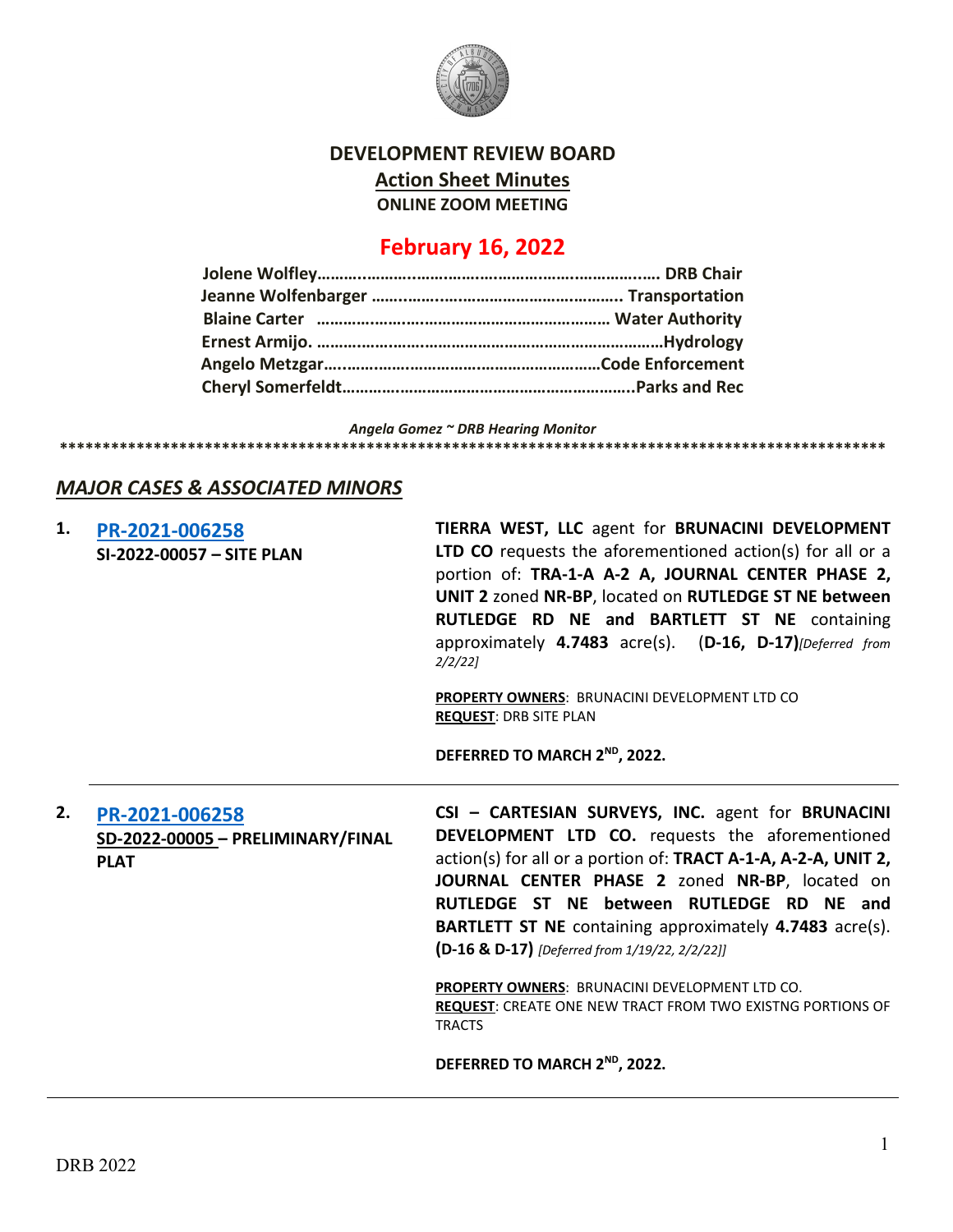

## **DEVELOPMENT REVIEW BOARD Action Sheet Minutes ONLINE ZOOM MEETING**

# **February 16, 2022**

*Angela Gomez ~ DRB Hearing Monitor* **\*\*\*\*\*\*\*\*\*\*\*\*\*\*\*\*\*\*\*\*\*\*\*\*\*\*\*\*\*\*\*\*\*\*\*\*\*\*\*\*\*\*\*\*\*\*\*\*\*\*\*\*\*\*\*\*\*\*\*\*\*\*\*\*\*\*\*\*\*\*\*\*\*\*\*\*\*\*\*\*\*\*\*\*\*\*\*\*\*\*\*\*\*\*\*\*\***

## *MAJOR CASES & ASSOCIATED MINORS*

| 1. | PR-2021-006258<br>SI-2022-00057 - SITE PLAN                        | TIERRA WEST, LLC agent for BRUNACINI DEVELOPMENT<br>LTD CO requests the aforementioned action(s) for all or a<br>portion of: TRA-1-A A-2 A, JOURNAL CENTER PHASE 2,<br>UNIT 2 zoned NR-BP, located on RUTLEDGE ST NE between<br>RUTLEDGE RD NE and BARTLETT ST NE containing<br>approximately 4.7483 acre(s). (D-16, D-17) [Deferred from<br>$2/2/22$ ]                                                                                                                                                                           |
|----|--------------------------------------------------------------------|-----------------------------------------------------------------------------------------------------------------------------------------------------------------------------------------------------------------------------------------------------------------------------------------------------------------------------------------------------------------------------------------------------------------------------------------------------------------------------------------------------------------------------------|
|    |                                                                    | PROPERTY OWNERS: BRUNACINI DEVELOPMENT LTD CO<br><b>REQUEST: DRB SITE PLAN</b>                                                                                                                                                                                                                                                                                                                                                                                                                                                    |
|    |                                                                    | DEFERRED TO MARCH 2 <sup>ND</sup> , 2022.                                                                                                                                                                                                                                                                                                                                                                                                                                                                                         |
| 2. | PR-2021-006258<br>SD-2022-00005 - PRELIMINARY/FINAL<br><b>PLAT</b> | CSI - CARTESIAN SURVEYS, INC. agent for BRUNACINI<br>DEVELOPMENT LTD CO. requests the aforementioned<br>action(s) for all or a portion of: TRACT A-1-A, A-2-A, UNIT 2,<br>JOURNAL CENTER PHASE 2 zoned NR-BP, located on<br>RUTLEDGE ST NE between RUTLEDGE RD NE and<br><b>BARTLETT ST NE</b> containing approximately 4.7483 acre(s).<br>(D-16 & D-17) [Deferred from 1/19/22, 2/2/22]]<br>PROPERTY OWNERS: BRUNACINI DEVELOPMENT LTD CO.<br><b>REQUEST: CREATE ONE NEW TRACT FROM TWO EXISTNG PORTIONS OF</b><br><b>TRACTS</b> |
|    |                                                                    |                                                                                                                                                                                                                                                                                                                                                                                                                                                                                                                                   |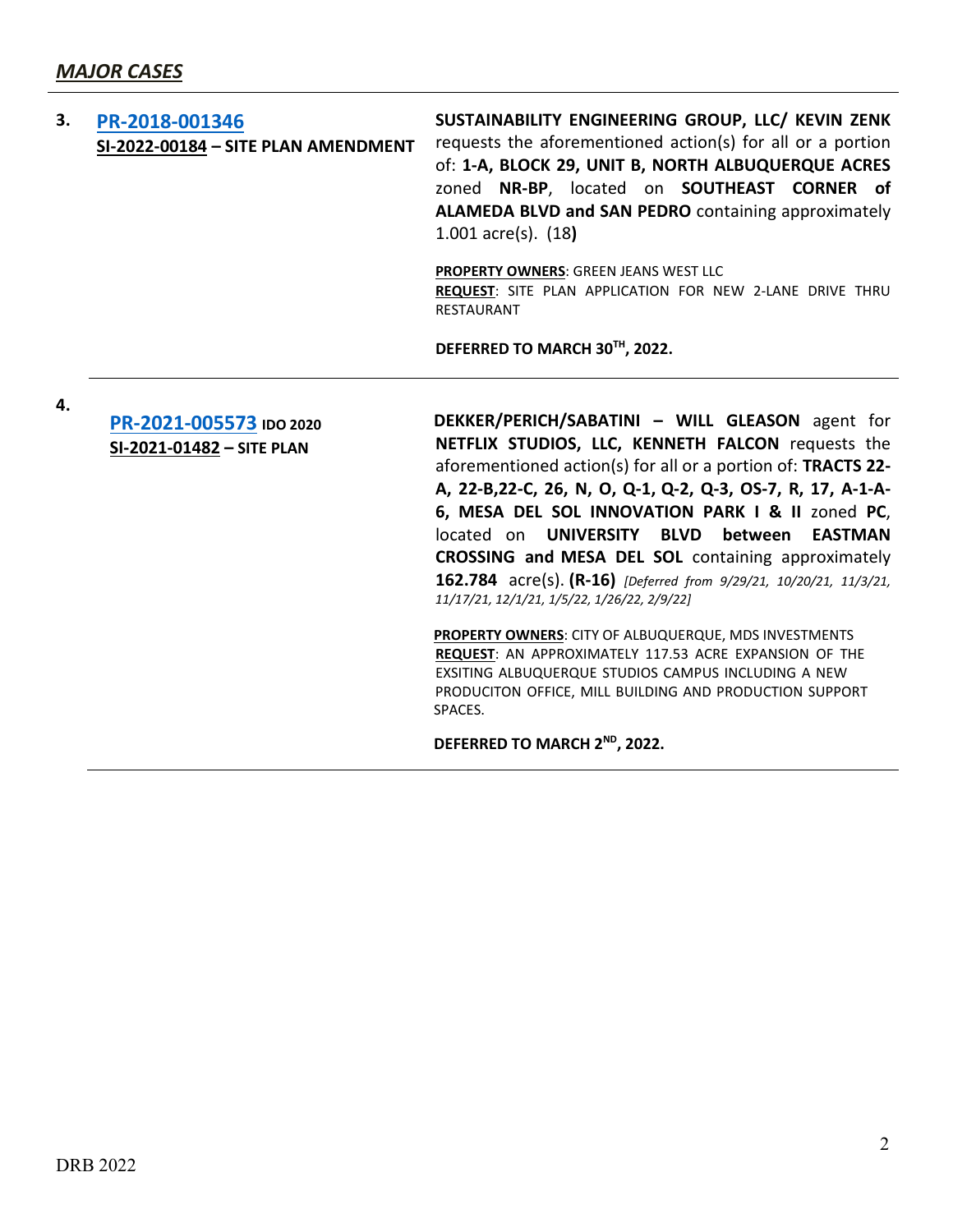| 3. | PR-2018-001346<br>SI-2022-00184 - SITE PLAN AMENDMENT | SUSTAINABILITY ENGINEERING GROUP, LLC/ KEVIN ZENK<br>requests the aforementioned action(s) for all or a portion<br>of: 1-A, BLOCK 29, UNIT B, NORTH ALBUQUERQUE ACRES<br>zoned NR-BP, located on SOUTHEAST CORNER of<br><b>ALAMEDA BLVD and SAN PEDRO</b> containing approximately<br>$1.001$ acre(s). $(18)$                                                                                                                                                                                                                                                                                           |
|----|-------------------------------------------------------|---------------------------------------------------------------------------------------------------------------------------------------------------------------------------------------------------------------------------------------------------------------------------------------------------------------------------------------------------------------------------------------------------------------------------------------------------------------------------------------------------------------------------------------------------------------------------------------------------------|
|    |                                                       | <b>PROPERTY OWNERS: GREEN JEANS WEST LLC</b><br><b>REQUEST:</b> SITE PLAN APPLICATION FOR NEW 2-LANE DRIVE THRU<br><b>RESTAURANT</b>                                                                                                                                                                                                                                                                                                                                                                                                                                                                    |
|    |                                                       | DEFERRED TO MARCH 30TH, 2022.                                                                                                                                                                                                                                                                                                                                                                                                                                                                                                                                                                           |
| 4. | PR-2021-005573 IDO 2020<br>SI-2021-01482 - SITE PLAN  | DEKKER/PERICH/SABATINI - WILL GLEASON agent for<br>NETFLIX STUDIOS, LLC, KENNETH FALCON requests the<br>aforementioned action(s) for all or a portion of: TRACTS 22-<br>A, 22-B, 22-C, 26, N, O, Q-1, Q-2, Q-3, OS-7, R, 17, A-1-A-<br>6, MESA DEL SOL INNOVATION PARK I & II zoned PC,<br>located on <b>UNIVERSITY</b><br>BLVD between<br><b>EASTMAN</b><br>CROSSING and MESA DEL SOL containing approximately<br>162.784 acre(s). (R-16) [Deferred from 9/29/21, 10/20/21, 11/3/21,<br>11/17/21, 12/1/21, 1/5/22, 1/26/22, 2/9/22]<br><b>DROBERTY OUNIERS, CITY OF ALBUOLIEROLIE AADS INVESTMENTS</b> |

**PROPERTY OWNERS**: CITY OF ALBUQUERQUE, MDS INVESTMENTS **REQUEST**: AN APPROXIMATELY 117.53 ACRE EXPANSION OF THE EXSITING ALBUQUERQUE STUDIOS CAMPUS INCLUDING A NEW PRODUCITON OFFICE, MILL BUILDING AND PRODUCTION SUPPORT SPACES.

**DEFERRED TO MARCH 2ND, 2022.**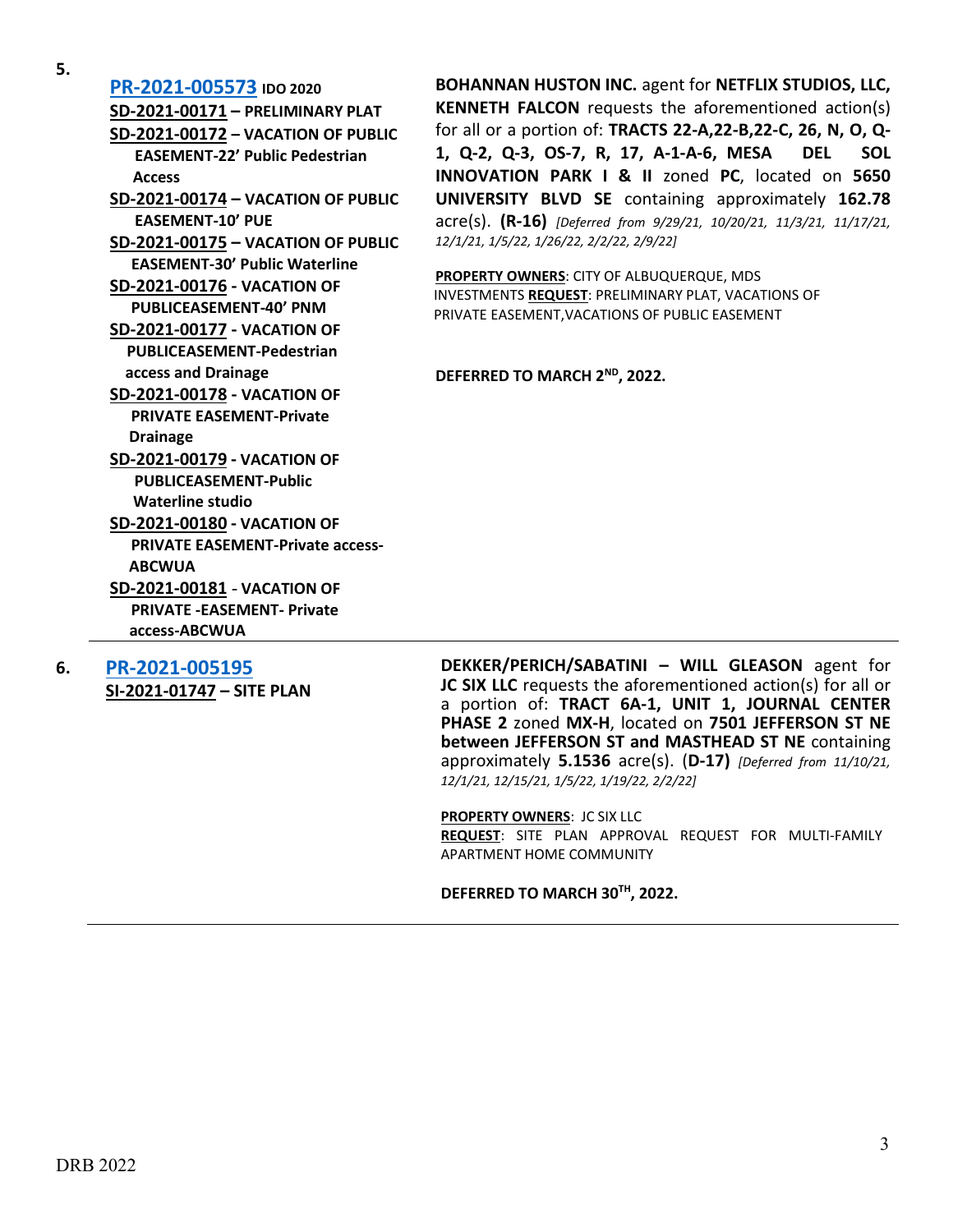**5.**

**[PR-2021-005573](http://data.cabq.gov/government/planning/DRB/PR-2021-005573/DRB%20Submittals/) IDO 2020 SD-2021-00171 – PRELIMINARY PLAT SD-2021-00172 – VACATION OF PUBLIC EASEMENT-22' Public Pedestrian Access SD-2021-00174 – VACATION OF PUBLIC EASEMENT-10' PUE SD-2021-00175 – VACATION OF PUBLIC EASEMENT-30' Public Waterline SD-2021-00176 - VACATION OF PUBLICEASEMENT-40' PNM SD-2021-00177 - VACATION OF PUBLICEASEMENT-Pedestrian access and Drainage SD-2021-00178 - VACATION OF PRIVATE EASEMENT-Private Drainage SD-2021-00179 - VACATION OF PUBLICEASEMENT-Public Waterline studio SD-2021-00180 - VACATION OF PRIVATE EASEMENT-Private access- ABCWUA SD-2021-00181** - **VACATION OF PRIVATE -EASEMENT- Private access-ABCWUA**

**6. [PR-2021-005195](http://data.cabq.gov/government/planning/DRB/PR-2021-005195/DRB%20Submittals/)**

**SI-2021-01747 – SITE PLAN**

**BOHANNAN HUSTON INC.** agent for **NETFLIX STUDIOS, LLC, KENNETH FALCON** requests the aforementioned action(s) for all or a portion of: **TRACTS 22-A,22-B,22-C, 26, N, O, Q-1, Q-2, Q-3, OS-7, R, 17, A-1-A-6, MESA DEL SOL INNOVATION PARK I & II** zoned **PC**, located on **5650 UNIVERSITY BLVD SE** containing approximately **162.78** acre(s). **(R-16)** *[Deferred from 9/29/21, 10/20/21, 11/3/21, 11/17/21, 12/1/21, 1/5/22, 1/26/22, 2/2/22, 2/9/22]*

**PROPERTY OWNERS**: CITY OF ALBUQUERQUE, MDS INVESTMENTS **REQUEST**: PRELIMINARY PLAT, VACATIONS OF PRIVATE EASEMENT,VACATIONS OF PUBLIC EASEMENT

#### **DEFERRED TO MARCH 2ND, 2022.**

**DEKKER/PERICH/SABATINI – WILL GLEASON** agent for **JC SIX LLC** requests the aforementioned action(s) for all or a portion of: **TRACT 6A-1, UNIT 1, JOURNAL CENTER PHASE 2** zoned **MX-H**, located on **7501 JEFFERSON ST NE between JEFFERSON ST and MASTHEAD ST NE** containing approximately **5.1536** acre(s). (**D-17)** *[Deferred from 11/10/21, 12/1/21, 12/15/21, 1/5/22, 1/19/22, 2/2/22]*

**PROPERTY OWNERS**: JC SIX LLC **REQUEST**: SITE PLAN APPROVAL REQUEST FOR MULTI-FAMILY APARTMENT HOME COMMUNITY

**DEFERRED TO MARCH 30TH, 2022.**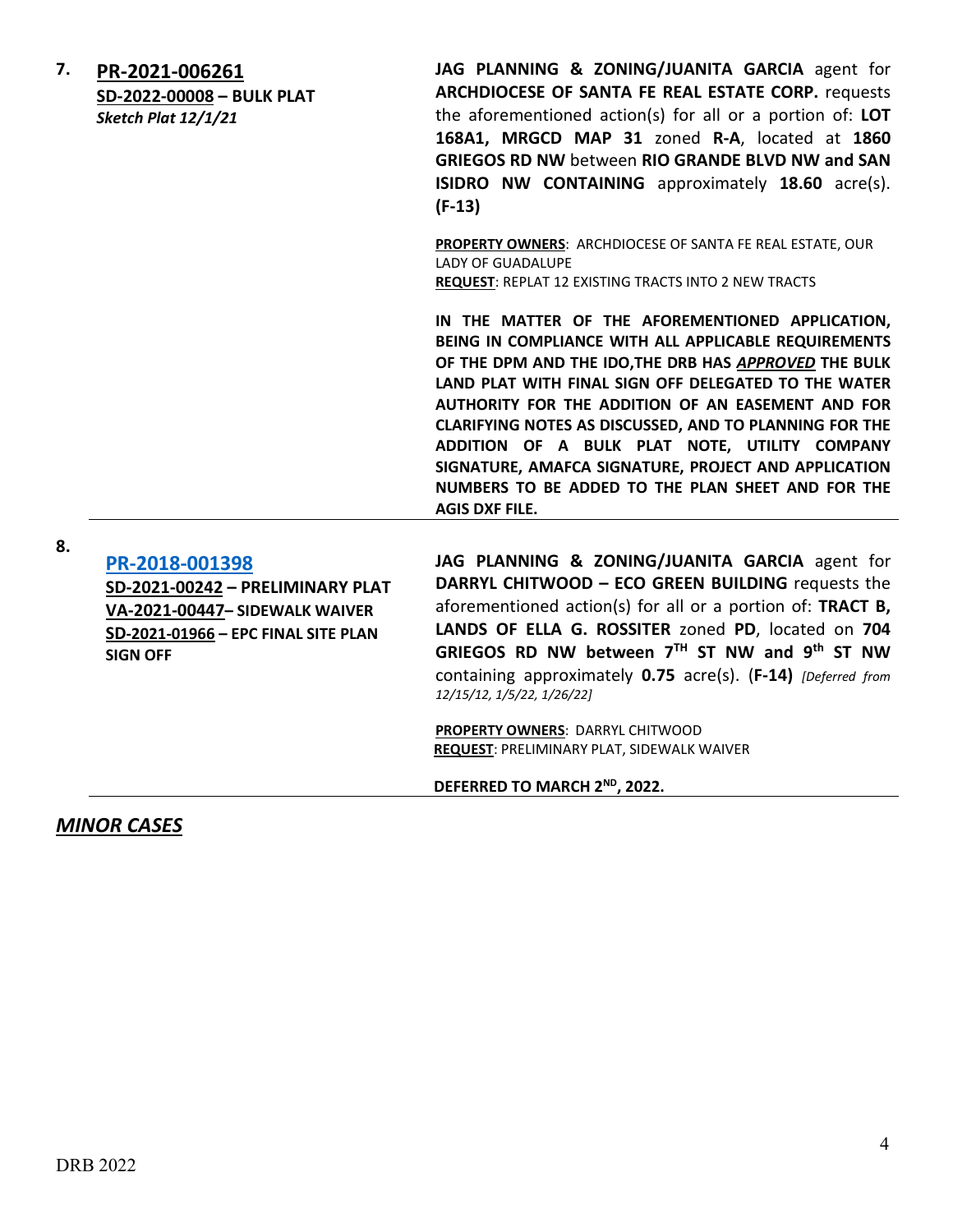| 7. | PR-2021-006261<br>SD-2022-00008 - BULK PLAT<br>Sketch Plat 12/1/21 | JAG PLANNING & ZONING/JUANITA GARCIA agent for<br><b>ARCHDIOCESE OF SANTA FE REAL ESTATE CORP.</b> requests<br>the aforementioned action(s) for all or a portion of: LOT<br>168A1, MRGCD MAP 31 zoned R-A, located at 1860<br><b>GRIEGOS RD NW between RIO GRANDE BLVD NW and SAN</b><br><b>ISIDRO NW CONTAINING</b> approximately 18.60 acre(s).<br>$(F-13)$                                                                                                                                                                   |
|----|--------------------------------------------------------------------|---------------------------------------------------------------------------------------------------------------------------------------------------------------------------------------------------------------------------------------------------------------------------------------------------------------------------------------------------------------------------------------------------------------------------------------------------------------------------------------------------------------------------------|
|    |                                                                    | <b>PROPERTY OWNERS: ARCHDIOCESE OF SANTA FE REAL ESTATE, OUR</b><br><b>LADY OF GUADALUPE</b><br><b>REQUEST: REPLAT 12 EXISTING TRACTS INTO 2 NEW TRACTS</b>                                                                                                                                                                                                                                                                                                                                                                     |
|    |                                                                    | IN THE MATTER OF THE AFOREMENTIONED APPLICATION,<br>BEING IN COMPLIANCE WITH ALL APPLICABLE REQUIREMENTS<br>OF THE DPM AND THE IDO, THE DRB HAS APPROVED THE BULK<br>LAND PLAT WITH FINAL SIGN OFF DELEGATED TO THE WATER<br>AUTHORITY FOR THE ADDITION OF AN EASEMENT AND FOR<br>CLARIFYING NOTES AS DISCUSSED, AND TO PLANNING FOR THE<br>ADDITION OF A BULK PLAT NOTE, UTILITY COMPANY<br>SIGNATURE, AMAFCA SIGNATURE, PROJECT AND APPLICATION<br>NUMBERS TO BE ADDED TO THE PLAN SHEET AND FOR THE<br><b>AGIS DXF FILE.</b> |

**8.**

**[PR-2018-001398](http://data.cabq.gov/government/planning/DRB/PR-2018-001398/DRB%20Submittals/PR-2018-001398_February_16_2022_Supp/PR-2018-001398%20Supplemental%20Submittal.pdf) SD-2021-00242 – PRELIMINARY PLAT VA-2021-00447– SIDEWALK WAIVER SD-2021-01966 – EPC FINAL SITE PLAN SIGN OFF**

**JAG PLANNING & ZONING/JUANITA GARCIA** agent for **DARRYL CHITWOOD – ECO GREEN BUILDING** requests the aforementioned action(s) for all or a portion of: **TRACT B, LANDS OF ELLA G. ROSSITER** zoned **PD**, located on **704 GRIEGOS RD NW between 7TH ST NW and 9th ST NW** containing approximately **0.75** acre(s). (**F-14)** *[Deferred from 12/15/12, 1/5/22, 1/26/22]*

**PROPERTY OWNERS**: DARRYL CHITWOOD **REQUEST**: PRELIMINARY PLAT, SIDEWALK WAIVER

**DEFERRED TO MARCH 2ND, 2022.**

*MINOR CASES*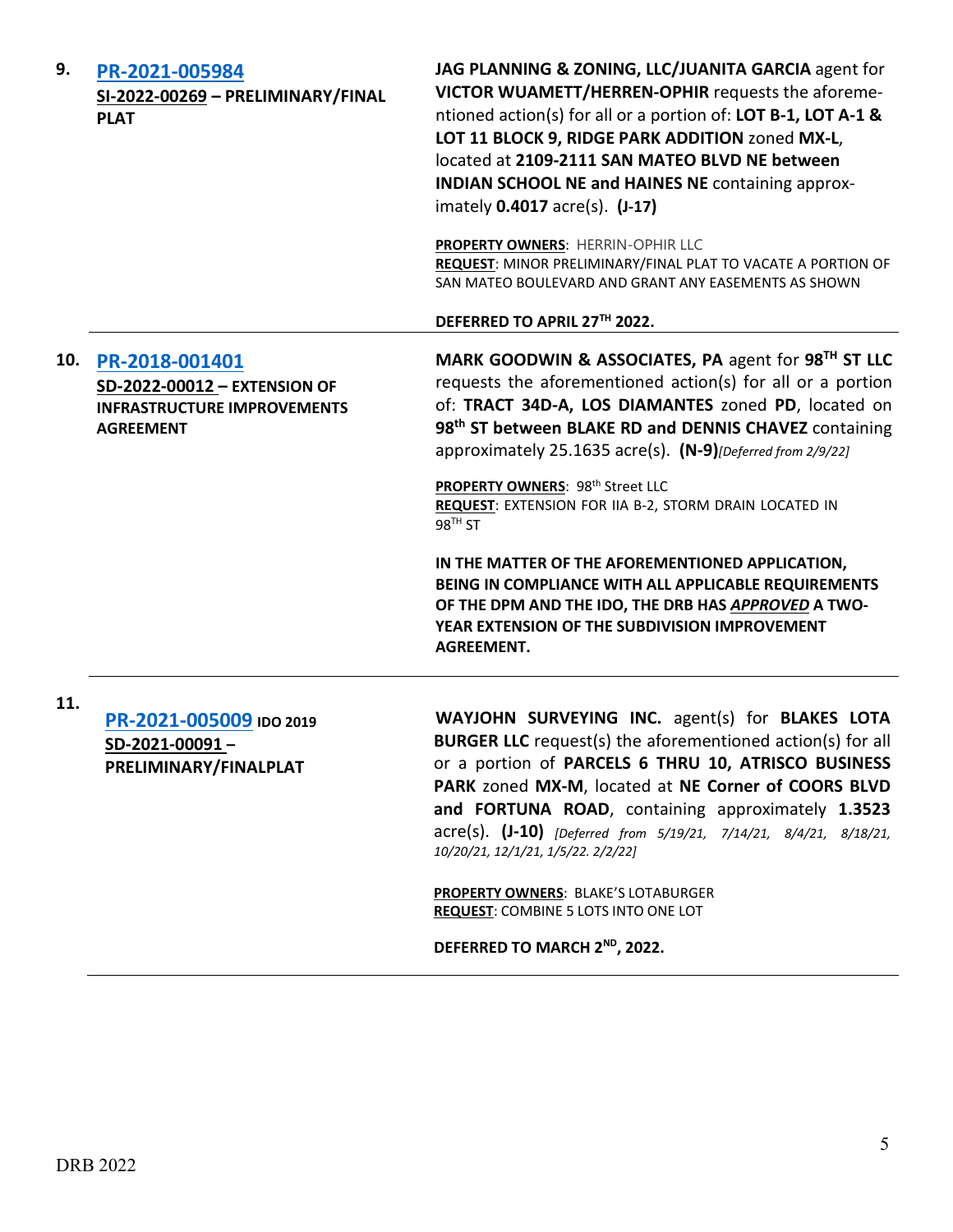| 9.  | PR-2021-005984<br>SI-2022-00269 - PRELIMINARY/FINAL<br><b>PLAT</b>                                       | JAG PLANNING & ZONING, LLC/JUANITA GARCIA agent for<br>VICTOR WUAMETT/HERREN-OPHIR requests the aforeme-<br>ntioned action(s) for all or a portion of: LOT B-1, LOT A-1 &<br>LOT 11 BLOCK 9, RIDGE PARK ADDITION zoned MX-L,<br>located at 2109-2111 SAN MATEO BLVD NE between<br><b>INDIAN SCHOOL NE and HAINES NE containing approx-</b><br>imately 0.4017 acre(s). (J-17)                                                                     |
|-----|----------------------------------------------------------------------------------------------------------|--------------------------------------------------------------------------------------------------------------------------------------------------------------------------------------------------------------------------------------------------------------------------------------------------------------------------------------------------------------------------------------------------------------------------------------------------|
|     |                                                                                                          | PROPERTY OWNERS: HERRIN-OPHIR LLC<br>REQUEST: MINOR PRELIMINARY/FINAL PLAT TO VACATE A PORTION OF<br>SAN MATEO BOULEVARD AND GRANT ANY EASEMENTS AS SHOWN                                                                                                                                                                                                                                                                                        |
|     |                                                                                                          | DEFERRED TO APRIL 27TH 2022.                                                                                                                                                                                                                                                                                                                                                                                                                     |
| 10. | PR-2018-001401<br>SD-2022-00012 - EXTENSION OF<br><b>INFRASTRUCTURE IMPROVEMENTS</b><br><b>AGREEMENT</b> | MARK GOODWIN & ASSOCIATES, PA agent for 98 <sup>TH</sup> ST LLC<br>requests the aforementioned action(s) for all or a portion<br>of: TRACT 34D-A, LOS DIAMANTES zoned PD, located on<br>98 <sup>th</sup> ST between BLAKE RD and DENNIS CHAVEZ containing<br>approximately 25.1635 acre(s). (N-9) [Deferred from 2/9/22]                                                                                                                         |
|     |                                                                                                          | PROPERTY OWNERS: 98th Street LLC<br>REQUEST: EXTENSION FOR IIA B-2, STORM DRAIN LOCATED IN<br>$98TH$ ST                                                                                                                                                                                                                                                                                                                                          |
|     |                                                                                                          | IN THE MATTER OF THE AFOREMENTIONED APPLICATION,<br>BEING IN COMPLIANCE WITH ALL APPLICABLE REQUIREMENTS<br>OF THE DPM AND THE IDO, THE DRB HAS APPROVED A TWO-<br>YEAR EXTENSION OF THE SUBDIVISION IMPROVEMENT<br><b>AGREEMENT.</b>                                                                                                                                                                                                            |
| 11. | PR-2021-005009 IDO 2019<br>SD-2021-00091-<br>PRELIMINARY/FINALPLAT                                       | WAYJOHN SURVEYING INC. agent(s) for BLAKES LOTA<br><b>BURGER LLC</b> request(s) the aforementioned action(s) for all<br>or a portion of PARCELS 6 THRU 10, ATRISCO BUSINESS<br>PARK zoned MX-M, located at NE Corner of COORS BLVD<br>and FORTUNA ROAD, containing approximately 1.3523<br>acre(s). (J-10) [Deferred from 5/19/21, 7/14/21, 8/4/21, 8/18/21,<br>10/20/21, 12/1/21, 1/5/22. 2/2/22]<br><b>PROPERTY OWNERS: BLAKE'S LOTABURGER</b> |
|     |                                                                                                          | <b>REQUEST: COMBINE 5 LOTS INTO ONE LOT</b>                                                                                                                                                                                                                                                                                                                                                                                                      |

**DEFERRED TO MARCH 2ND, 2022.**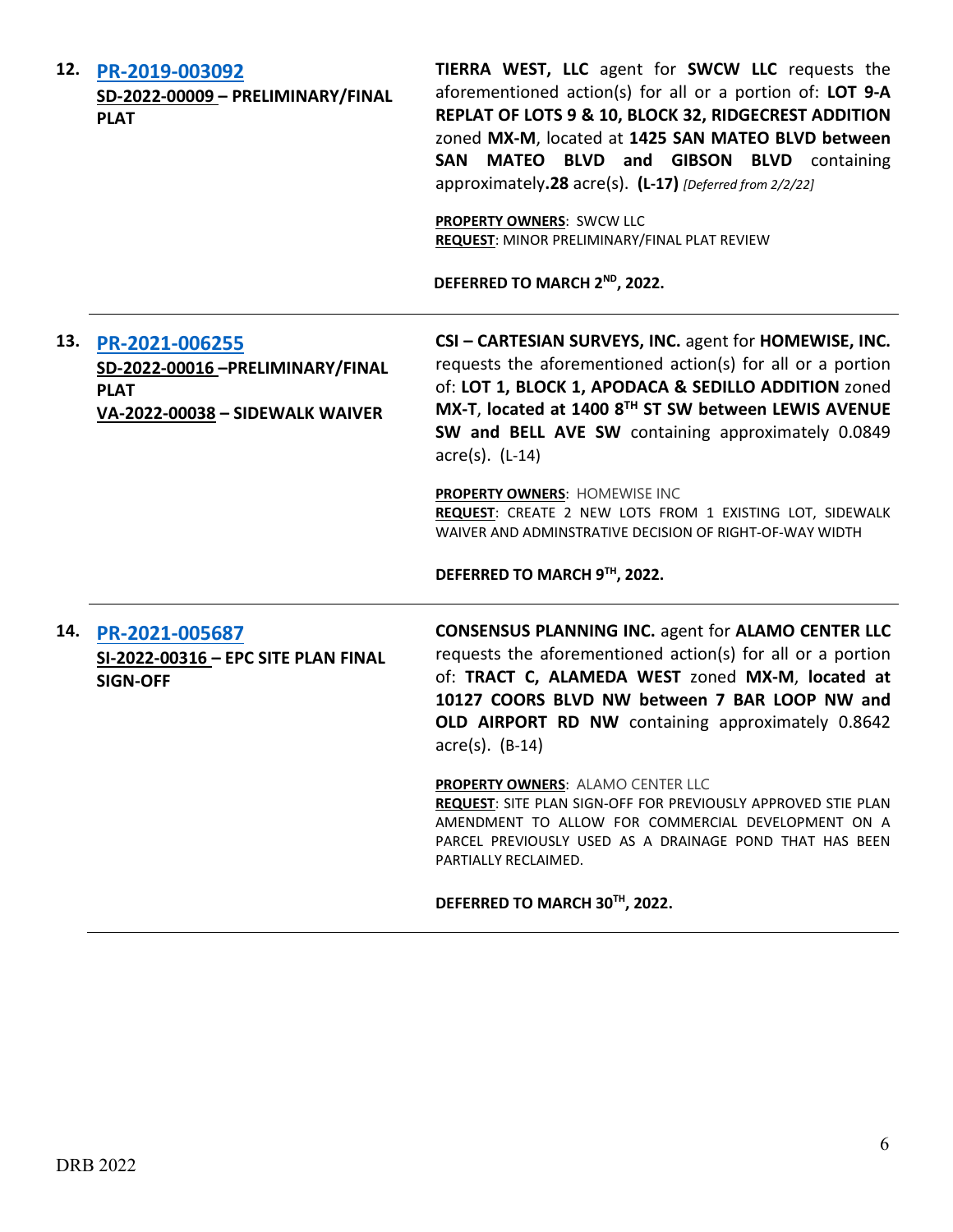| 12. | PR-2019-003092<br>SD-2022-00009 - PRELIMINARY/FINAL<br><b>PLAT</b>                                  | TIERRA WEST, LLC agent for SWCW LLC requests the<br>aforementioned action(s) for all or a portion of: LOT 9-A<br>REPLAT OF LOTS 9 & 10, BLOCK 32, RIDGECREST ADDITION<br>zoned MX-M, located at 1425 SAN MATEO BLVD between<br><b>MATEO BLVD and GIBSON BLVD</b> containing<br><b>SAN</b><br>approximately.28 acre(s). (L-17) [Deferred from 2/2/22]<br><b>PROPERTY OWNERS: SWCW LLC</b><br>REQUEST: MINOR PRELIMINARY/FINAL PLAT REVIEW<br>DEFERRED TO MARCH 2ND, 2022.  |
|-----|-----------------------------------------------------------------------------------------------------|---------------------------------------------------------------------------------------------------------------------------------------------------------------------------------------------------------------------------------------------------------------------------------------------------------------------------------------------------------------------------------------------------------------------------------------------------------------------------|
| 13. | PR-2021-006255<br>SD-2022-00016-PRELIMINARY/FINAL<br><b>PLAT</b><br>VA-2022-00038 - SIDEWALK WAIVER | CSI - CARTESIAN SURVEYS, INC. agent for HOMEWISE, INC.<br>requests the aforementioned action(s) for all or a portion<br>of: LOT 1, BLOCK 1, APODACA & SEDILLO ADDITION zoned<br>MX-T, located at 1400 8TH ST SW between LEWIS AVENUE<br>SW and BELL AVE SW containing approximately 0.0849<br>$\arccos $ . (L-14)<br>PROPERTY OWNERS: HOMEWISE INC<br>REQUEST: CREATE 2 NEW LOTS FROM 1 EXISTING LOT, SIDEWALK<br>WAIVER AND ADMINSTRATIVE DECISION OF RIGHT-OF-WAY WIDTH |
|     |                                                                                                     | DEFERRED TO MARCH 9TH, 2022.                                                                                                                                                                                                                                                                                                                                                                                                                                              |
| 14. | PR-2021-005687<br>SI-2022-00316 - EPC SITE PLAN FINAL<br><b>SIGN-OFF</b>                            | <b>CONSENSUS PLANNING INC. agent for ALAMO CENTER LLC</b><br>requests the aforementioned action(s) for all or a portion<br>of: TRACT C, ALAMEDA WEST zoned MX-M, located at<br>10127 COORS BLVD NW between 7 BAR LOOP NW and<br>OLD AIRPORT RD NW containing approximately 0.8642<br>$\arccos 0$ . (B-14)                                                                                                                                                                 |
|     |                                                                                                     | <b>PROPERTY OWNERS: ALAMO CENTER LLC</b><br>REQUEST: SITE PLAN SIGN-OFF FOR PREVIOUSLY APPROVED STIE PLAN<br>AMENDMENT TO ALLOW FOR COMMERCIAL DEVELOPMENT ON A<br>PARCEL PREVIOUSLY USED AS A DRAINAGE POND THAT HAS BEEN<br>PARTIALLY RECLAIMED.                                                                                                                                                                                                                        |
|     |                                                                                                     | DEFERRED TO MARCH 30TH, 2022.                                                                                                                                                                                                                                                                                                                                                                                                                                             |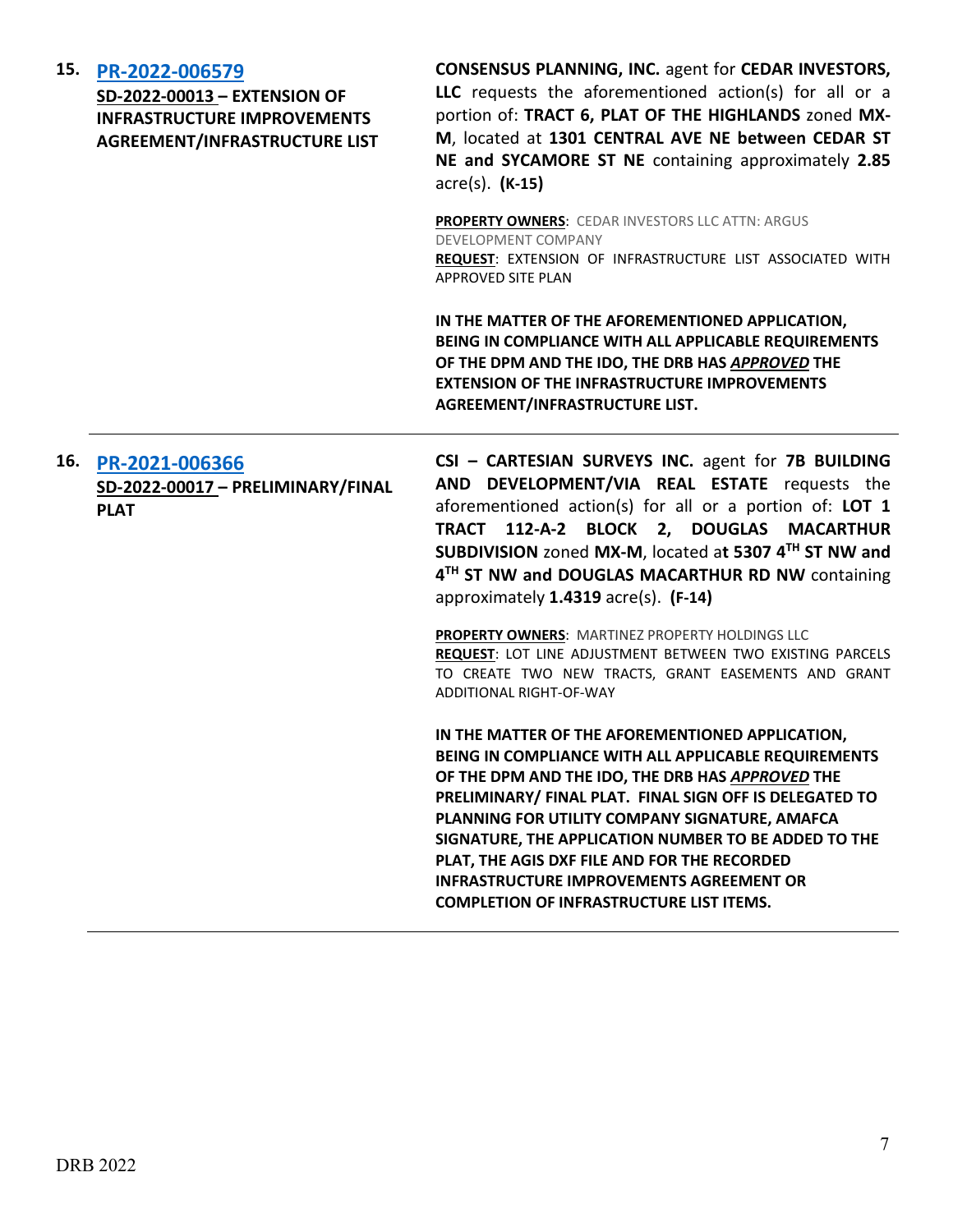|  | 15. PR-2022-006579<br>SD-2022-00013 - EXTENSION OF<br><b>INFRASTRUCTURE IMPROVEMENTS</b><br>AGREEMENT/INFRASTRUCTURE LIST | <b>CONSENSUS PLANNING, INC. agent for CEDAR INVESTORS,</b><br>LLC requests the aforementioned action(s) for all or a<br>portion of: TRACT 6, PLAT OF THE HIGHLANDS zoned MX-<br>M, located at 1301 CENTRAL AVE NE between CEDAR ST<br>NE and SYCAMORE ST NE containing approximately 2.85<br>$\arccos(5)$ . $(K-15)$                                                                                                                                                                    |
|--|---------------------------------------------------------------------------------------------------------------------------|-----------------------------------------------------------------------------------------------------------------------------------------------------------------------------------------------------------------------------------------------------------------------------------------------------------------------------------------------------------------------------------------------------------------------------------------------------------------------------------------|
|  |                                                                                                                           | <b>PROPERTY OWNERS: CEDAR INVESTORS LLC ATTN: ARGUS</b><br>DEVELOPMENT COMPANY<br>REQUEST: EXTENSION OF INFRASTRUCTURE LIST ASSOCIATED WITH<br><b>APPROVED SITE PLAN</b>                                                                                                                                                                                                                                                                                                                |
|  |                                                                                                                           | IN THE MATTER OF THE AFOREMENTIONED APPLICATION,<br>BEING IN COMPLIANCE WITH ALL APPLICABLE REQUIREMENTS<br>OF THE DPM AND THE IDO, THE DRB HAS APPROVED THE<br><b>EXTENSION OF THE INFRASTRUCTURE IMPROVEMENTS</b><br>AGREEMENT/INFRASTRUCTURE LIST.                                                                                                                                                                                                                                   |
|  | 16. PR-2021-006366<br>SD-2022-00017 - PRELIMINARY/FINAL<br><b>PLAT</b>                                                    | CSI - CARTESIAN SURVEYS INC. agent for 7B BUILDING<br>AND DEVELOPMENT/VIA REAL ESTATE requests the<br>aforementioned action(s) for all or a portion of: LOT 1<br>TRACT 112-A-2 BLOCK 2, DOUGLAS MACARTHUR<br>SUBDIVISION zoned MX-M, located at 5307 4TH ST NW and<br>4TH ST NW and DOUGLAS MACARTHUR RD NW containing<br>approximately 1.4319 acre(s). (F-14)                                                                                                                          |
|  |                                                                                                                           | PROPERTY OWNERS: MARTINEZ PROPERTY HOLDINGS LLC<br>REQUEST: LOT LINE ADJUSTMENT BETWEEN TWO EXISTING PARCELS<br>TO CREATE TWO NEW TRACTS, GRANT EASEMENTS AND GRANT<br>ADDITIONAL RIGHT-OF-WAY                                                                                                                                                                                                                                                                                          |
|  |                                                                                                                           | IN THE MATTER OF THE AFOREMENTIONED APPLICATION,<br>BEING IN COMPLIANCE WITH ALL APPLICABLE REQUIREMENTS<br>OF THE DPM AND THE IDO, THE DRB HAS APPROVED THE<br>PRELIMINARY/ FINAL PLAT. FINAL SIGN OFF IS DELEGATED TO<br>PLANNING FOR UTILITY COMPANY SIGNATURE, AMAFCA<br>SIGNATURE, THE APPLICATION NUMBER TO BE ADDED TO THE<br>PLAT, THE AGIS DXF FILE AND FOR THE RECORDED<br><b>INFRASTRUCTURE IMPROVEMENTS AGREEMENT OR</b><br><b>COMPLETION OF INFRASTRUCTURE LIST ITEMS.</b> |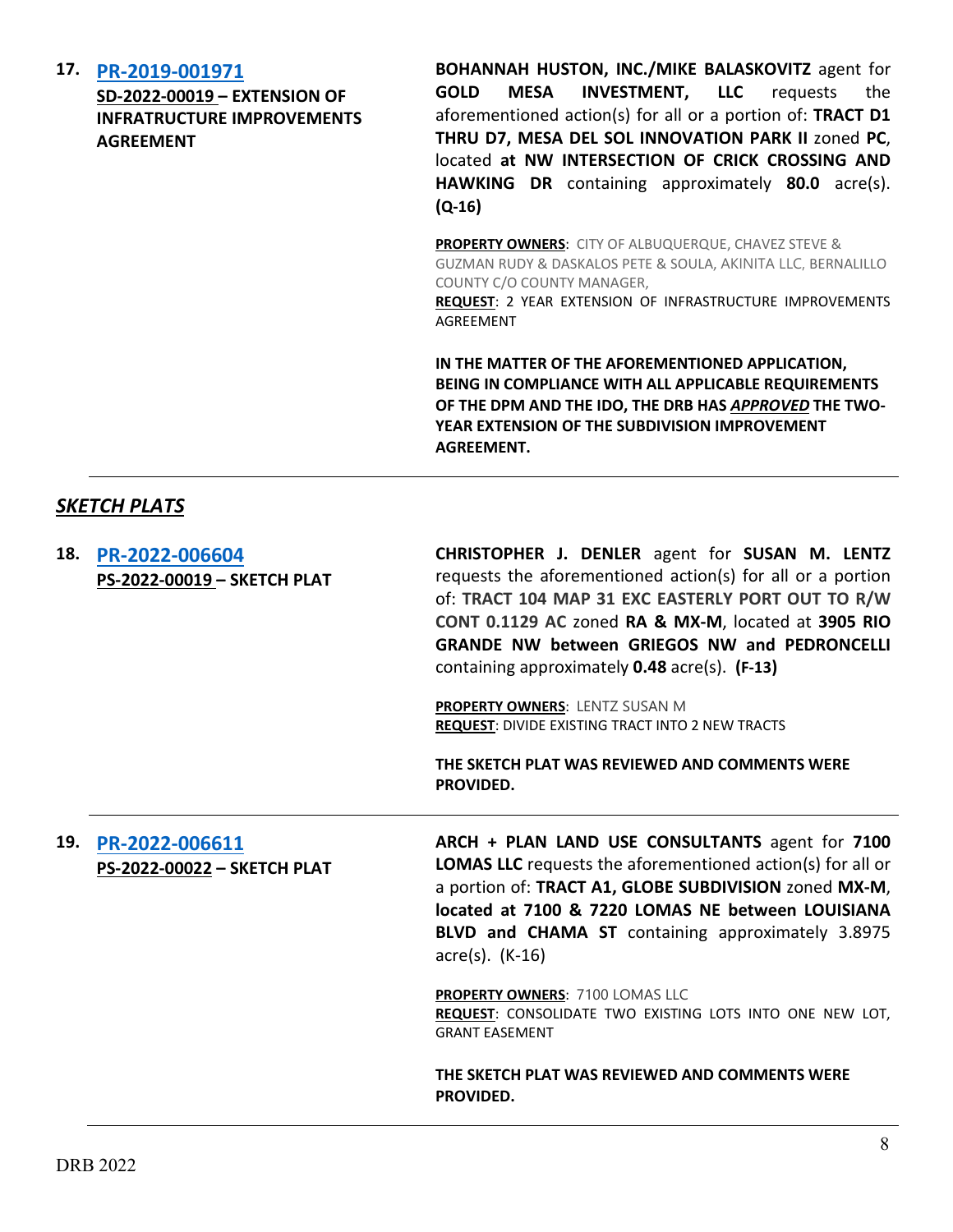### **17. [PR-2019-001971](http://data.cabq.gov/government/planning/DRB/)**

**SD-2022-00019 – EXTENSION OF INFRATRUCTURE IMPROVEMENTS AGREEMENT**

**BOHANNAH HUSTON, INC./MIKE BALASKOVITZ** agent for **GOLD MESA INVESTMENT, LLC** requests the aforementioned action(s) for all or a portion of: **TRACT D1 THRU D7, MESA DEL SOL INNOVATION PARK II** zoned **PC**, located **at NW INTERSECTION OF CRICK CROSSING AND HAWKING DR** containing approximately **80.0** acre(s). **(Q-16)**

**PROPERTY OWNERS**: CITY OF ALBUQUERQUE, CHAVEZ STEVE & GUZMAN RUDY & DASKALOS PETE & SOULA, AKINITA LLC, BERNALILLO COUNTY C/O COUNTY MANAGER, **REQUEST**: 2 YEAR EXTENSION OF INFRASTRUCTURE IMPROVEMENTS

**IN THE MATTER OF THE AFOREMENTIONED APPLICATION, BEING IN COMPLIANCE WITH ALL APPLICABLE REQUIREMENTS OF THE DPM AND THE IDO, THE DRB HAS** *APPROVED* **THE TWO-YEAR EXTENSION OF THE SUBDIVISION IMPROVEMENT AGREEMENT.**

## *SKETCH PLATS*

| 18. | PR-2022-006604<br>PS-2022-00019 - SKETCH PLAT | CHRISTOPHER J. DENLER agent for SUSAN M. LENTZ<br>requests the aforementioned action(s) for all or a portion<br>of: TRACT 104 MAP 31 EXC EASTERLY PORT OUT TO R/W<br>CONT 0.1129 AC zoned RA & MX-M, located at 3905 RIO<br><b>GRANDE NW between GRIEGOS NW and PEDRONCELLI</b><br>containing approximately 0.48 acre(s). (F-13)<br><b>PROPERTY OWNERS: LENTZ SUSAN M</b><br><b>REQUEST: DIVIDE EXISTING TRACT INTO 2 NEW TRACTS</b><br>THE SKETCH PLAT WAS REVIEWED AND COMMENTS WERE<br>PROVIDED.     |
|-----|-----------------------------------------------|---------------------------------------------------------------------------------------------------------------------------------------------------------------------------------------------------------------------------------------------------------------------------------------------------------------------------------------------------------------------------------------------------------------------------------------------------------------------------------------------------------|
| 19. | PR-2022-006611<br>PS-2022-00022 - SKETCH PLAT | ARCH + PLAN LAND USE CONSULTANTS agent for 7100<br><b>LOMAS LLC</b> requests the aforementioned action(s) for all or<br>a portion of: TRACT A1, GLOBE SUBDIVISION zoned MX-M,<br>located at 7100 & 7220 LOMAS NE between LOUISIANA<br>BLVD and CHAMA ST containing approximately 3.8975<br>$\arccos(5)$ . (K-16)<br>PROPERTY OWNERS: 7100 LOMAS LLC<br>REQUEST: CONSOLIDATE TWO EXISTING LOTS INTO ONE NEW LOT,<br><b>GRANT EASEMENT</b><br>THE SKETCH PLAT WAS REVIEWED AND COMMENTS WERE<br>PROVIDED. |

AGREEMENT